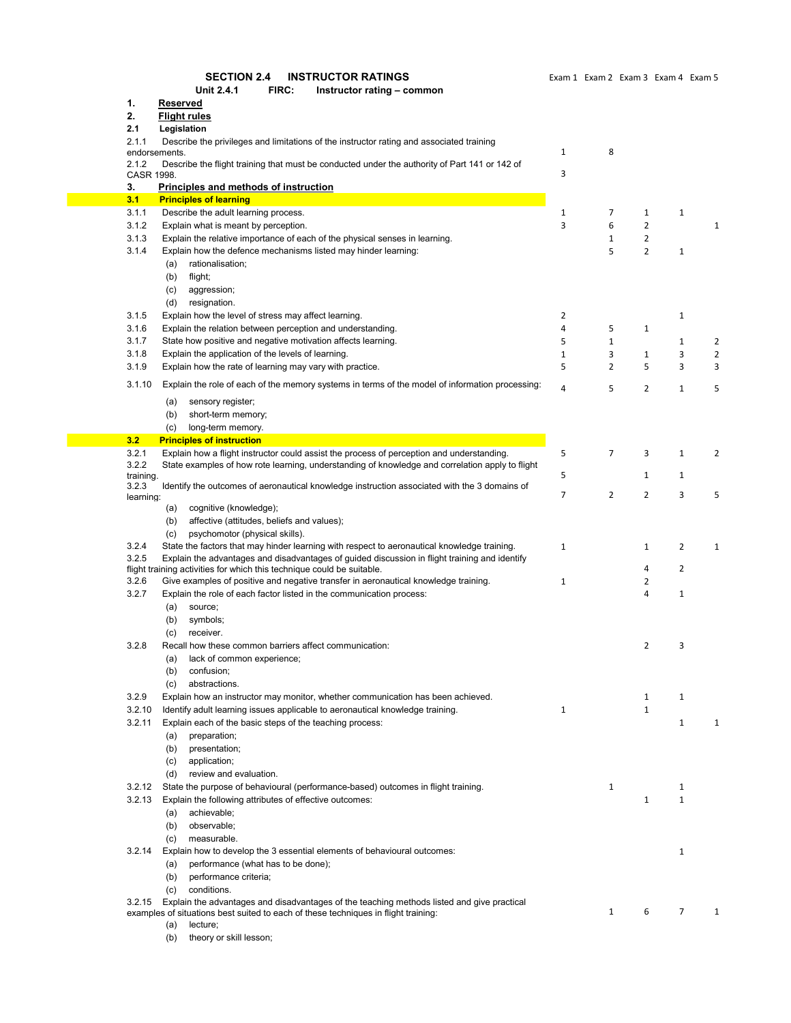|  | Exam 1 Exam 2 Exam 3 Exam 4 Exam 5 |  |
|--|------------------------------------|--|
|  |                                    |  |

|                | <b>SECTION 2.4</b><br><b>INSTRUCTOR RATINGS</b>                                                                                                                                              |              | Exam 1 Exam 2 Exam 3 Exam 4 Exam 5 |                |                |                |
|----------------|----------------------------------------------------------------------------------------------------------------------------------------------------------------------------------------------|--------------|------------------------------------|----------------|----------------|----------------|
|                | <b>Unit 2.4.1</b><br>FIRC:<br>Instructor rating - common                                                                                                                                     |              |                                    |                |                |                |
| 1.             | Reserved                                                                                                                                                                                     |              |                                    |                |                |                |
| 2.             | <b>Flight rules</b>                                                                                                                                                                          |              |                                    |                |                |                |
| 2.1            | Legislation                                                                                                                                                                                  |              |                                    |                |                |                |
| 2.1.1          | Describe the privileges and limitations of the instructor rating and associated training                                                                                                     |              |                                    |                |                |                |
| endorsements.  |                                                                                                                                                                                              | $\mathbf{1}$ | 8                                  |                |                |                |
| 2.1.2          | Describe the flight training that must be conducted under the authority of Part 141 or 142 of                                                                                                |              |                                    |                |                |                |
| CASR 1998.     |                                                                                                                                                                                              | 3            |                                    |                |                |                |
| 3.             | <b>Principles and methods of instruction</b>                                                                                                                                                 |              |                                    |                |                |                |
| 3.1            | <b>Principles of learning</b>                                                                                                                                                                |              |                                    |                |                |                |
| 3.1.1          | Describe the adult learning process.                                                                                                                                                         | $\mathbf{1}$ | 7                                  | 1              | $\mathbf{1}$   |                |
| 3.1.2          | Explain what is meant by perception.                                                                                                                                                         | 3            | 6                                  | $\overline{2}$ |                | $\mathbf{1}$   |
| 3.1.3          | Explain the relative importance of each of the physical senses in learning.                                                                                                                  |              | 1                                  | $\overline{2}$ |                |                |
| 3.1.4          | Explain how the defence mechanisms listed may hinder learning:                                                                                                                               |              | 5                                  | $\overline{2}$ | $\mathbf{1}$   |                |
|                | (a)<br>rationalisation;                                                                                                                                                                      |              |                                    |                |                |                |
|                | (b)<br>flight;                                                                                                                                                                               |              |                                    |                |                |                |
|                | (c)<br>aggression;                                                                                                                                                                           |              |                                    |                |                |                |
|                | (d)<br>resignation.                                                                                                                                                                          |              |                                    |                |                |                |
| 3.1.5          | Explain how the level of stress may affect learning.                                                                                                                                         | 2            |                                    |                | $\mathbf{1}$   |                |
| 3.1.6          | Explain the relation between perception and understanding.                                                                                                                                   | 4            | 5                                  | $\mathbf{1}$   |                |                |
| 3.1.7          | State how positive and negative motivation affects learning.                                                                                                                                 | 5            | 1                                  |                | $\mathbf{1}$   | 2              |
| 3.1.8          | Explain the application of the levels of learning.                                                                                                                                           | $\mathbf{1}$ | 3                                  | $\mathbf{1}$   | 3              | $\overline{2}$ |
| 3.1.9          | Explain how the rate of learning may vary with practice.                                                                                                                                     | 5            | $\overline{2}$                     | 5              | 3              | 3              |
|                |                                                                                                                                                                                              |              |                                    |                |                |                |
| 3.1.10         | Explain the role of each of the memory systems in terms of the model of information processing:                                                                                              | 4            | 5                                  | 2              | $\mathbf{1}$   | 5              |
|                | sensory register;<br>(a)                                                                                                                                                                     |              |                                    |                |                |                |
|                | (b)<br>short-term memory;                                                                                                                                                                    |              |                                    |                |                |                |
|                | (c)<br>long-term memory.                                                                                                                                                                     |              |                                    |                |                |                |
| 3.2            | <b>Principles of instruction</b>                                                                                                                                                             |              |                                    |                |                |                |
| 3.2.1          | Explain how a flight instructor could assist the process of perception and understanding.                                                                                                    | 5            | 7                                  | 3              | $\mathbf{1}$   | 2              |
| 3.2.2          | State examples of how rote learning, understanding of knowledge and correlation apply to flight                                                                                              |              |                                    |                |                |                |
| training.      |                                                                                                                                                                                              | 5            |                                    | 1              | $\mathbf{1}$   |                |
| 3.2.3          | Identify the outcomes of aeronautical knowledge instruction associated with the 3 domains of                                                                                                 | 7            | $\overline{2}$                     | 2              | 3              | 5              |
| learning:      | cognitive (knowledge);<br>(a)                                                                                                                                                                |              |                                    |                |                |                |
|                | (b)<br>affective (attitudes, beliefs and values);                                                                                                                                            |              |                                    |                |                |                |
|                |                                                                                                                                                                                              |              |                                    |                |                |                |
|                | psychomotor (physical skills).<br>(c)                                                                                                                                                        |              |                                    |                | $\overline{2}$ |                |
| 3.2.4<br>3.2.5 | State the factors that may hinder learning with respect to aeronautical knowledge training.<br>Explain the advantages and disadvantages of guided discussion in flight training and identify | 1            |                                    | 1              |                | $\mathbf{1}$   |
|                | flight training activities for which this technique could be suitable.                                                                                                                       |              |                                    | 4              | $\overline{2}$ |                |
| 3.2.6          | Give examples of positive and negative transfer in aeronautical knowledge training.                                                                                                          | 1            |                                    | 2              |                |                |
| 3.2.7          | Explain the role of each factor listed in the communication process:                                                                                                                         |              |                                    | 4              | $\mathbf{1}$   |                |
|                | (a)<br>source;                                                                                                                                                                               |              |                                    |                |                |                |
|                | (b)<br>symbols;                                                                                                                                                                              |              |                                    |                |                |                |
|                | receiver.                                                                                                                                                                                    |              |                                    |                |                |                |
| 3.2.8          | (c)<br>Recall how these common barriers affect communication:                                                                                                                                |              |                                    |                |                |                |
|                |                                                                                                                                                                                              |              |                                    | 2              | 3              |                |
|                | (a)<br>lack of common experience;                                                                                                                                                            |              |                                    |                |                |                |
|                | (b)<br>confusion;                                                                                                                                                                            |              |                                    |                |                |                |
|                | (c)<br>abstractions.                                                                                                                                                                         |              |                                    |                |                |                |
| 3.2.9          | Explain how an instructor may monitor, whether communication has been achieved.                                                                                                              |              |                                    | 1              | 1              |                |
| 3.2.10         | Identify adult learning issues applicable to aeronautical knowledge training.                                                                                                                | $\mathbf{1}$ |                                    | 1              |                |                |
| 3.2.11         | Explain each of the basic steps of the teaching process:                                                                                                                                     |              |                                    |                | $\mathbf{1}$   | $\mathbf{1}$   |
|                | preparation;<br>(a)                                                                                                                                                                          |              |                                    |                |                |                |
|                | (b)<br>presentation;                                                                                                                                                                         |              |                                    |                |                |                |
|                | (c)<br>application;                                                                                                                                                                          |              |                                    |                |                |                |
|                | (d)<br>review and evaluation.                                                                                                                                                                |              |                                    |                |                |                |
| 3.2.12         | State the purpose of behavioural (performance-based) outcomes in flight training.                                                                                                            |              | 1                                  |                | $\mathbf{1}$   |                |
| 3.2.13         | Explain the following attributes of effective outcomes:                                                                                                                                      |              |                                    | $\mathbf{1}$   | $\mathbf{1}$   |                |
|                | achievable;<br>(a)                                                                                                                                                                           |              |                                    |                |                |                |
|                | observable;<br>(b)                                                                                                                                                                           |              |                                    |                |                |                |
|                | measurable.<br>(c)                                                                                                                                                                           |              |                                    |                |                |                |
| 3.2.14         | Explain how to develop the 3 essential elements of behavioural outcomes:                                                                                                                     |              |                                    |                | $\mathbf{1}$   |                |
|                | performance (what has to be done);<br>(a)                                                                                                                                                    |              |                                    |                |                |                |
|                | (b)<br>performance criteria;                                                                                                                                                                 |              |                                    |                |                |                |
|                | conditions.<br>(c)                                                                                                                                                                           |              |                                    |                |                |                |
| 3.2.15         | Explain the advantages and disadvantages of the teaching methods listed and give practical                                                                                                   |              |                                    |                |                |                |
|                | examples of situations best suited to each of these techniques in flight training:                                                                                                           |              | 1                                  | 6              | 7              | 1              |

(a) lecture;

(b) theory or skill lesson;